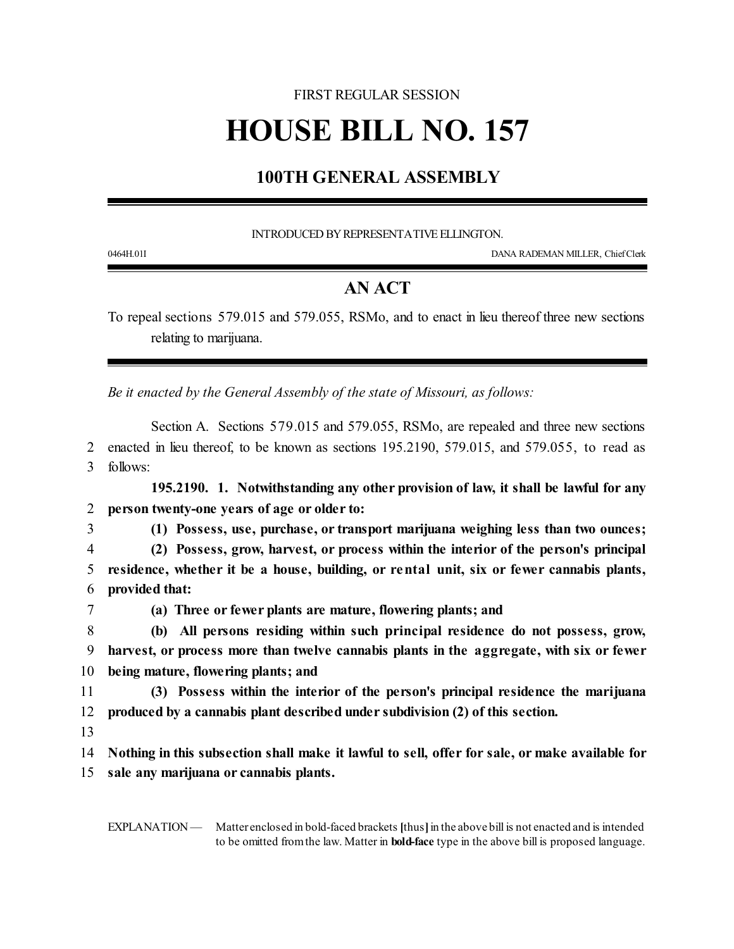## FIRST REGULAR SESSION

# **HOUSE BILL NO. 157**

# **100TH GENERAL ASSEMBLY**

#### INTRODUCED BY REPRESENTATIVE ELLINGTON.

0464H.01I DANA RADEMAN MILLER, ChiefClerk

## **AN ACT**

To repeal sections 579.015 and 579.055, RSMo, and to enact in lieu thereof three new sections relating to marijuana.

*Be it enacted by the General Assembly of the state of Missouri, as follows:*

Section A. Sections 579.015 and 579.055, RSMo, are repealed and three new sections 2 enacted in lieu thereof, to be known as sections 195.2190, 579.015, and 579.055, to read as 3 follows:

**195.2190. 1. Notwithstanding any other provision of law, it shall be lawful for any** 2 **person twenty-one years of age or older to:**

3 **(1) Possess, use, purchase, or transport marijuana weighing less than two ounces;**

4 **(2) Possess, grow, harvest, or process within the interior of the person's principal**

5 **residence, whether it be a house, building, or rental unit, six or fewer cannabis plants,** 6 **provided that:**

7 **(a) Three or fewer plants are mature, flowering plants; and**

8 **(b) All persons residing within such principal residence do not possess, grow,** 9 **harvest, or process more than twelve cannabis plants in the aggregate, with six or fewer** 10 **being mature, flowering plants; and**

11 **(3) Possess within the interior of the person's principal residence the marijuana** 12 **produced by a cannabis plant described under subdivision (2) of this section.**

13

14 **Nothing in this subsection shall make it lawful to sell, offer for sale, or make available for** 15 **sale any marijuana or cannabis plants.**

EXPLANATION — Matter enclosed in bold-faced brackets [thus] in the above bill is not enacted and is intended to be omitted fromthe law. Matter in **bold-face** type in the above bill is proposed language.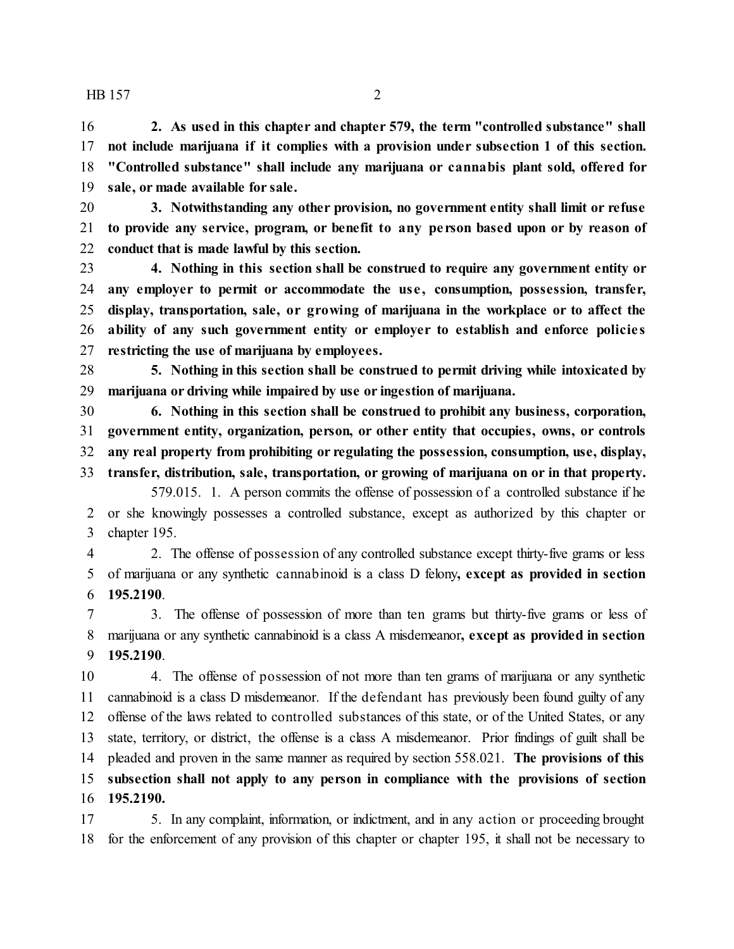HB 157 2

 **2. As used in this chapter and chapter 579, the term "controlled substance" shall not include marijuana if it complies with a provision under subsection 1 of this section. "Controlled substance" shall include any marijuana or cannabis plant sold, offered for sale, or made available for sale.**

 **3. Notwithstanding any other provision, no government entity shall limit or refuse to provide any service, program, or benefit to any pe rson based upon or by reason of conduct that is made lawful by this section.**

 **4. Nothing in this section shall be construed to require any government entity or any employer to permit or accommodate the us e , consumption, possession, transfer, display, transportation, sale, or growing of marijuana in the workplace or to affect the ability of any such government entity or employer to establish and enforce policie s restricting the use of marijuana by employees.**

 **5. Nothing in this section shall be construed to permit driving while intoxicated by marijuana or driving while impaired by use or ingestion of marijuana.**

 **6. Nothing in this section shall be construed to prohibit any business, corporation, government entity, organization, person, or other entity that occupies, owns, or controls any real property from prohibiting or regulating the possession, consumption, use, display, transfer, distribution, sale, transportation, or growing of marijuana on or in that property.**

579.015. 1. A person commits the offense of possession of a controlled substance if he or she knowingly possesses a controlled substance, except as authorized by this chapter or chapter 195.

 2. The offense of possession of any controlled substance except thirty-five grams or less of marijuana or any synthetic cannabinoid is a class D felony**, except as provided in section 195.2190**.

 3. The offense of possession of more than ten grams but thirty-five grams or less of marijuana or any synthetic cannabinoid is a class A misdemeanor**, except as provided in section 195.2190**.

 4. The offense of possession of not more than ten grams of marijuana or any synthetic cannabinoid is a class D misdemeanor. If the defendant has previously been found guilty of any offense of the laws related to controlled substances of this state, or of the United States, or any state, territory, or district, the offense is a class A misdemeanor. Prior findings of guilt shall be pleaded and proven in the same manner as required by section 558.021. **The provisions of this subsection shall not apply to any person in compliance with the provisions of section 195.2190.**

 5. In any complaint, information, or indictment, and in any action or proceeding brought for the enforcement of any provision of this chapter or chapter 195, it shall not be necessary to